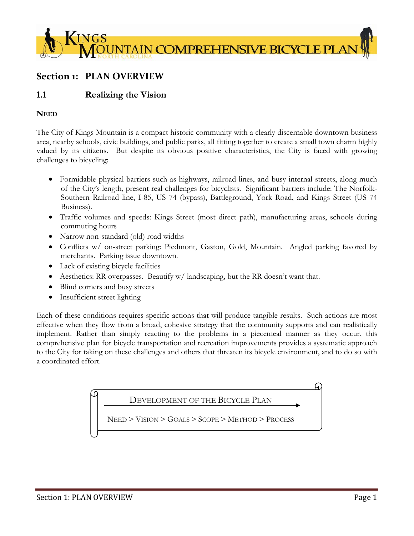

# **Section 1: PLAN OVERVIEW**

## **1.1 Realizing the Vision**

#### **NEED**

The City of Kings Mountain is a compact historic community with a clearly discernable downtown business area, nearby schools, civic buildings, and public parks, all fitting together to create a small town charm highly valued by its citizens. But despite its obvious positive characteristics, the City is faced with growing challenges to bicycling:

- Formidable physical barriers such as highways, railroad lines, and busy internal streets, along much of the City's length, present real challenges for bicyclists. Significant barriers include: The Norfolk-Southern Railroad line, I-85, US 74 (bypass), Battleground, York Road, and Kings Street (US 74 Business).
- Traffic volumes and speeds: Kings Street (most direct path), manufacturing areas, schools during commuting hours
- Narrow non-standard (old) road widths
- Conflicts w/ on-street parking: Piedmont, Gaston, Gold, Mountain. Angled parking favored by merchants. Parking issue downtown.
- Lack of existing bicycle facilities
- Aesthetics: RR overpasses. Beautify w/ landscaping, but the RR doesn't want that.
- Blind corners and busy streets
- Insufficient street lighting

Each of these conditions requires specific actions that will produce tangible results. Such actions are most effective when they flow from a broad, cohesive strategy that the community supports and can realistically implement. Rather than simply reacting to the problems in a piecemeal manner as they occur, this comprehensive plan for bicycle transportation and recreation improvements provides a systematic approach to the City for taking on these challenges and others that threaten its bicycle environment, and to do so with a coordinated effort.

## DEVELOPMENT OF THE BICYCLE PLAN

NEED > VISION > GOALS > SCOPE > METHOD > PROCESS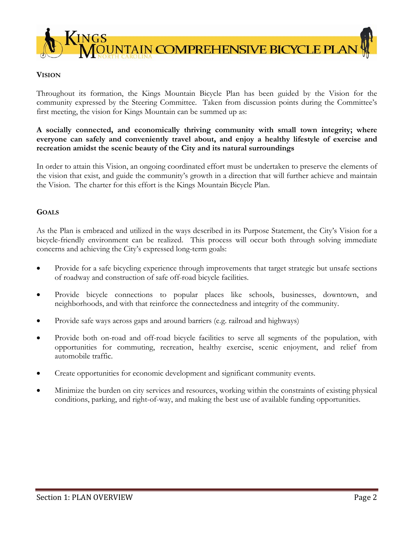

#### **VISION**

Throughout its formation, the Kings Mountain Bicycle Plan has been guided by the Vision for the community expressed by the Steering Committee. Taken from discussion points during the Committee's first meeting, the vision for Kings Mountain can be summed up as:

#### **A socially connected, and economically thriving community with small town integrity; where everyone can safely and conveniently travel about, and enjoy a healthy lifestyle of exercise and recreation amidst the scenic beauty of the City and its natural surroundings**

In order to attain this Vision, an ongoing coordinated effort must be undertaken to preserve the elements of the vision that exist, and guide the community's growth in a direction that will further achieve and maintain the Vision. The charter for this effort is the Kings Mountain Bicycle Plan.

### **GOALS**

As the Plan is embraced and utilized in the ways described in its Purpose Statement, the City's Vision for a bicycle-friendly environment can be realized. This process will occur both through solving immediate concerns and achieving the City's expressed long-term goals:

- Provide for a safe bicycling experience through improvements that target strategic but unsafe sections of roadway and construction of safe off-road bicycle facilities.
- Provide bicycle connections to popular places like schools, businesses, downtown, and neighborhoods, and with that reinforce the connectedness and integrity of the community.
- Provide safe ways across gaps and around barriers (e.g. railroad and highways)
- Provide both on-road and off-road bicycle facilities to serve all segments of the population, with opportunities for commuting, recreation, healthy exercise, scenic enjoyment, and relief from automobile traffic.
- Create opportunities for economic development and significant community events.
- Minimize the burden on city services and resources, working within the constraints of existing physical conditions, parking, and right-of-way, and making the best use of available funding opportunities.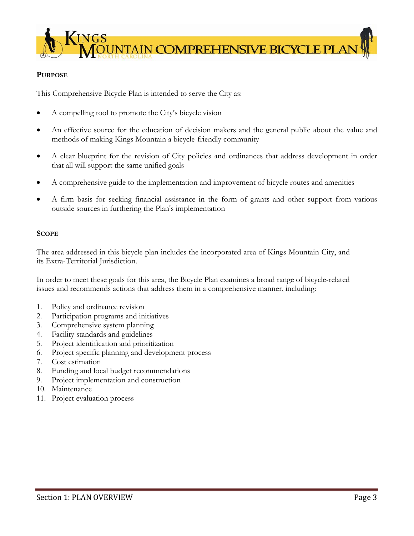

#### **PURPOSE**

This Comprehensive Bicycle Plan is intended to serve the City as:

- A compelling tool to promote the City's bicycle vision
- An effective source for the education of decision makers and the general public about the value and methods of making Kings Mountain a bicycle-friendly community
- A clear blueprint for the revision of City policies and ordinances that address development in order that all will support the same unified goals
- A comprehensive guide to the implementation and improvement of bicycle routes and amenities
- A firm basis for seeking financial assistance in the form of grants and other support from various outside sources in furthering the Plan's implementation

#### **SCOPE**

The area addressed in this bicycle plan includes the incorporated area of Kings Mountain City, and its Extra-Territorial Jurisdiction.

In order to meet these goals for this area, the Bicycle Plan examines a broad range of bicycle-related issues and recommends actions that address them in a comprehensive manner, including:

- 1. Policy and ordinance revision
- 2. Participation programs and initiatives
- 3. Comprehensive system planning
- 4. Facility standards and guidelines
- 5. Project identification and prioritization
- 6. Project specific planning and development process
- 7. Cost estimation
- 8. Funding and local budget recommendations
- 9. Project implementation and construction
- 10. Maintenance
- 11. Project evaluation process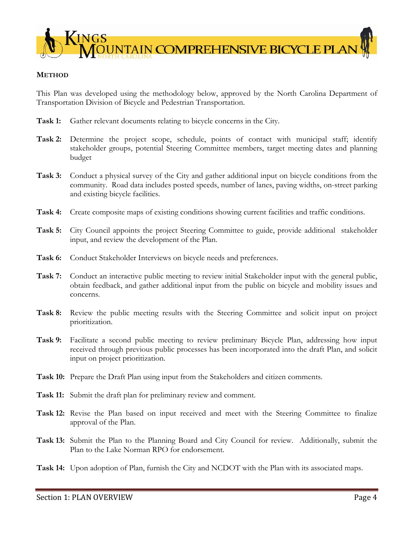

#### **METHOD**

This Plan was developed using the methodology below, approved by the North Carolina Department of Transportation Division of Bicycle and Pedestrian Transportation.

- **Task 1:** Gather relevant documents relating to bicycle concerns in the City.
- **Task 2:** Determine the project scope, schedule, points of contact with municipal staff; identify stakeholder groups, potential Steering Committee members, target meeting dates and planning budget
- Task 3: Conduct a physical survey of the City and gather additional input on bicycle conditions from the community. Road data includes posted speeds, number of lanes, paving widths, on-street parking and existing bicycle facilities.
- **Task 4:** Create composite maps of existing conditions showing current facilities and traffic conditions.
- **Task 5:** City Council appoints the project Steering Committee to guide, provide additional stakeholder input, and review the development of the Plan.
- Task 6: Conduct Stakeholder Interviews on bicycle needs and preferences.
- **Task 7:** Conduct an interactive public meeting to review initial Stakeholder input with the general public, obtain feedback, and gather additional input from the public on bicycle and mobility issues and concerns.
- **Task 8:** Review the public meeting results with the Steering Committee and solicit input on project prioritization.
- **Task 9:** Facilitate a second public meeting to review preliminary Bicycle Plan, addressing how input received through previous public processes has been incorporated into the draft Plan, and solicit input on project prioritization.
- **Task 10:** Prepare the Draft Plan using input from the Stakeholders and citizen comments.
- **Task 11:** Submit the draft plan for preliminary review and comment.
- **Task 12:** Revise the Plan based on input received and meet with the Steering Committee to finalize approval of the Plan.
- **Task 13:** Submit the Plan to the Planning Board and City Council for review. Additionally, submit the Plan to the Lake Norman RPO for endorsement.
- **Task 14:** Upon adoption of Plan, furnish the City and NCDOT with the Plan with its associated maps.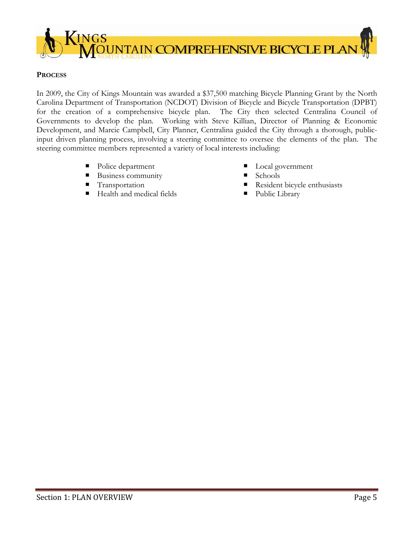

#### **PROCESS**

In 2009, the City of Kings Mountain was awarded a \$37,500 matching Bicycle Planning Grant by the North Carolina Department of Transportation (NCDOT) Division of Bicycle and Bicycle Transportation (DPBT) for the creation of a comprehensive bicycle plan. The City then selected Centralina Council of Governments to develop the plan. Working with Steve Killian, Director of Planning & Economic Development, and Marcie Campbell, City Planner, Centralina guided the City through a thorough, publicinput driven planning process, involving a steering committee to oversee the elements of the plan. The steering committee members represented a variety of local interests including:

- Police department
- Business community
- **Transportation**
- Health and medical fields
- Local government
- Schools
- Resident bicycle enthusiasts
- **Public Library**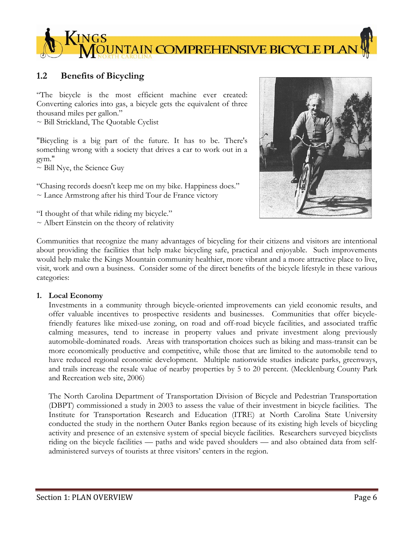

## **1.2 Benefits of Bicycling**

"The bicycle is the most efficient machine ever created: Converting calories into gas, a bicycle gets the equivalent of three thousand miles per gallon."

~ Bill Strickland, The Quotable Cyclist

"Bicycling is a big part of the future. It has to be. There's something wrong with a society that drives a car to work out in a gym."

 $\sim$  Bill Nye, the Science Guy

"Chasing records doesn't keep me on my bike. Happiness does."  $\sim$  Lance Armstrong after his third Tour de France victory

"I thought of that while riding my bicycle."

 $\sim$  Albert Einstein on the theory of relativity



Communities that recognize the many advantages of bicycling for their citizens and visitors are intentional about providing the facilities that help make bicycling safe, practical and enjoyable. Such improvements would help make the Kings Mountain community healthier, more vibrant and a more attractive place to live, visit, work and own a business. Consider some of the direct benefits of the bicycle lifestyle in these various categories:

#### **1. Local Economy**

Investments in a community through bicycle-oriented improvements can yield economic results, and offer valuable incentives to prospective residents and businesses. Communities that offer bicyclefriendly features like mixed-use zoning, on road and off-road bicycle facilities, and associated traffic calming measures, tend to increase in property values and private investment along previously automobile-dominated roads. Areas with transportation choices such as biking and mass-transit can be more economically productive and competitive, while those that are limited to the automobile tend to have reduced regional economic development. Multiple nationwide studies indicate parks, greenways, and trails increase the resale value of nearby properties by 5 to 20 percent. (Mecklenburg County Park and Recreation web site, 2006)

The North Carolina Department of Transportation Division of Bicycle and Pedestrian Transportation (DBPT) commissioned a study in 2003 to assess the value of their investment in bicycle facilities. The Institute for Transportation Research and Education (ITRE) at North Carolina State University conducted the study in the northern Outer Banks region because of its existing high levels of bicycling activity and presence of an extensive system of special bicycle facilities. Researchers surveyed bicyclists riding on the bicycle facilities — paths and wide paved shoulders — and also obtained data from selfadministered surveys of tourists at three visitors' centers in the region.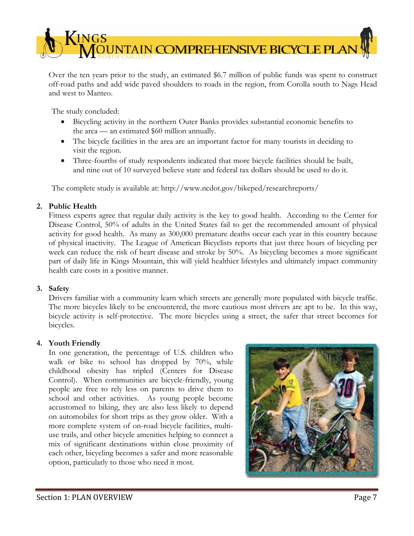

Over the ten years prior to the study, an estimated \$6.7 million of public funds was spent to construct off-road paths and add wide paved shoulders to roads in the region, from Corolla south to Nags Head and west to Manteo.

The study concluded:

- Bicycling activity in the northern Outer Banks provides substantial economic benefits to the area — an estimated \$60 million annually.
- The bicycle facilities in the area are an important factor for many tourists in deciding to visit the region.
- Three-fourths of study respondents indicated that more bicycle facilities should be built, and nine out of 10 surveyed believe state and federal tax dollars should be used to do it.

The complete study is available at: http://www.ncdot.gov/bikeped/researchreports/

## **2. Public Health**

Fitness experts agree that regular daily activity is the key to good health. According to the Center for Disease Control, 50% of adults in the United States fail to get the recommended amount of physical activity for good health. As many as 300,000 premature deaths occur each year in this country because of physical inactivity. The League of American Bicyclists reports that just three hours of bicycling per week can reduce the risk of heart disease and stroke by 50%. As bicycling becomes a more significant part of daily life in Kings Mountain, this will yield healthier lifestyles and ultimately impact community health care costs in a positive manner.

#### **3. Safety**

Drivers familiar with a community learn which streets are generally more populated with bicycle traffic. The more bicycles likely to be encountered, the more cautious most drivers are apt to be. In this way, bicycle activity is self-protective. The more bicycles using a street, the safer that street becomes for bicycles.

#### **4. Youth Friendly**

In one generation, the percentage of U.S. children who walk or bike to school has dropped by 70%, while childhood obesity has tripled (Centers for Disease Control). When communities are bicycle-friendly, young people are free to rely less on parents to drive them to school and other activities. As young people become accustomed to biking, they are also less likely to depend on automobiles for short trips as they grow older. With a more complete system of on-road bicycle facilities, multiuse trails, and other bicycle amenities helping to connect a mix of significant destinations within close proximity of each other, bicycling becomes a safer and more reasonable option, particularly to those who need it most.